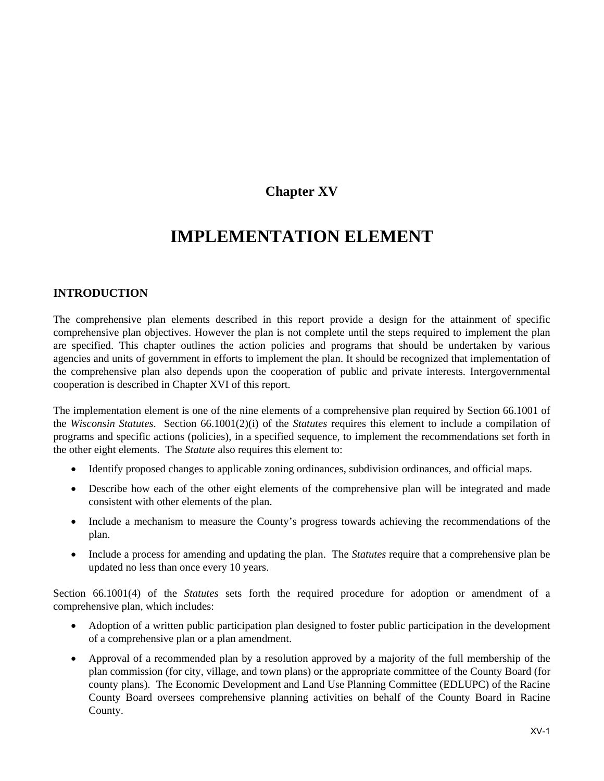# **Chapter XV**

# **IMPLEMENTATION ELEMENT**

# **INTRODUCTION**

The comprehensive plan elements described in this report provide a design for the attainment of specific comprehensive plan objectives. However the plan is not complete until the steps required to implement the plan are specified. This chapter outlines the action policies and programs that should be undertaken by various agencies and units of government in efforts to implement the plan. It should be recognized that implementation of the comprehensive plan also depends upon the cooperation of public and private interests. Intergovernmental cooperation is described in Chapter XVI of this report.

The implementation element is one of the nine elements of a comprehensive plan required by Section 66.1001 of the *Wisconsin Statutes*. Section 66.1001(2)(i) of the *Statutes* requires this element to include a compilation of programs and specific actions (policies), in a specified sequence, to implement the recommendations set forth in the other eight elements. The *Statute* also requires this element to:

- Identify proposed changes to applicable zoning ordinances, subdivision ordinances, and official maps.
- Describe how each of the other eight elements of the comprehensive plan will be integrated and made consistent with other elements of the plan.
- Include a mechanism to measure the County's progress towards achieving the recommendations of the plan.
- Include a process for amending and updating the plan. The *Statutes* require that a comprehensive plan be updated no less than once every 10 years.

Section 66.1001(4) of the *Statutes* sets forth the required procedure for adoption or amendment of a comprehensive plan, which includes:

- Adoption of a written public participation plan designed to foster public participation in the development of a comprehensive plan or a plan amendment.
- Approval of a recommended plan by a resolution approved by a majority of the full membership of the plan commission (for city, village, and town plans) or the appropriate committee of the County Board (for county plans). The Economic Development and Land Use Planning Committee (EDLUPC) of the Racine County Board oversees comprehensive planning activities on behalf of the County Board in Racine County.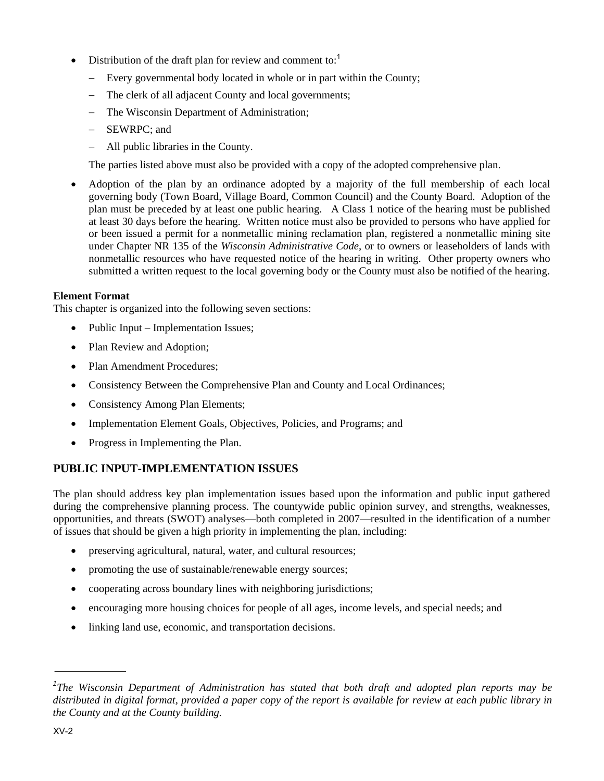- Distribution of the draft plan for review and comment to:<sup>1</sup>
	- Every governmental body located in whole or in part within the County;
	- The clerk of all adjacent County and local governments;
	- The Wisconsin Department of Administration;
	- SEWRPC; and
	- All public libraries in the County.

The parties listed above must also be provided with a copy of the adopted comprehensive plan.

 Adoption of the plan by an ordinance adopted by a majority of the full membership of each local governing body (Town Board, Village Board, Common Council) and the County Board. Adoption of the plan must be preceded by at least one public hearing. A Class 1 notice of the hearing must be published at least 30 days before the hearing. Written notice must also be provided to persons who have applied for or been issued a permit for a nonmetallic mining reclamation plan, registered a nonmetallic mining site under Chapter NR 135 of the *Wisconsin Administrative Code*, or to owners or leaseholders of lands with nonmetallic resources who have requested notice of the hearing in writing. Other property owners who submitted a written request to the local governing body or the County must also be notified of the hearing.

## **Element Format**

This chapter is organized into the following seven sections:

- Public Input Implementation Issues;
- Plan Review and Adoption;
- Plan Amendment Procedures;
- Consistency Between the Comprehensive Plan and County and Local Ordinances;
- Consistency Among Plan Elements;
- Implementation Element Goals, Objectives, Policies, and Programs; and
- Progress in Implementing the Plan.

# **PUBLIC INPUT-IMPLEMENTATION ISSUES**

The plan should address key plan implementation issues based upon the information and public input gathered during the comprehensive planning process. The countywide public opinion survey, and strengths, weaknesses, opportunities, and threats (SWOT) analyses—both completed in 2007—resulted in the identification of a number of issues that should be given a high priority in implementing the plan, including:

- preserving agricultural, natural, water, and cultural resources;
- promoting the use of sustainable/renewable energy sources;
- cooperating across boundary lines with neighboring jurisdictions;
- encouraging more housing choices for people of all ages, income levels, and special needs; and
- linking land use, economic, and transportation decisions.

<sup>&</sup>lt;sup>1</sup>The Wisconsin Department of Administration has stated that both draft and adopted plan reports may be *distributed in digital format, provided a paper copy of the report is available for review at each public library in the County and at the County building.*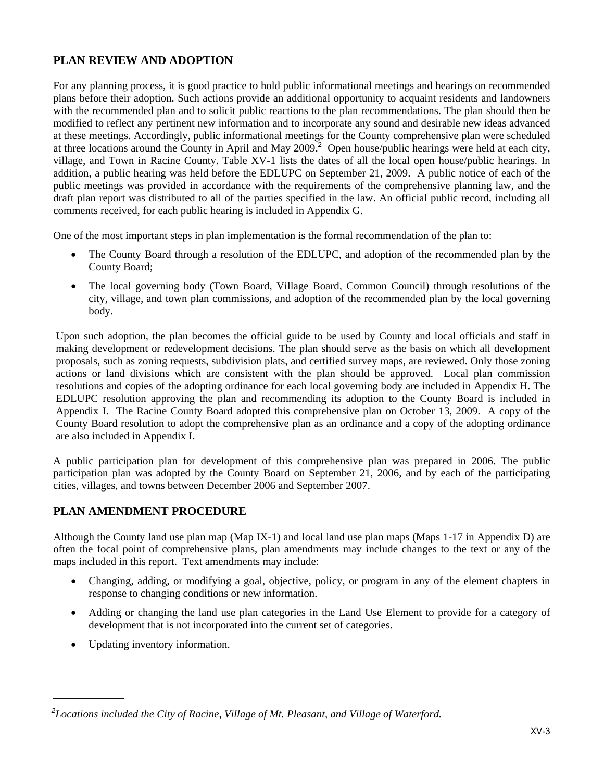# **PLAN REVIEW AND ADOPTION**

For any planning process, it is good practice to hold public informational meetings and hearings on recommended plans before their adoption. Such actions provide an additional opportunity to acquaint residents and landowners with the recommended plan and to solicit public reactions to the plan recommendations. The plan should then be modified to reflect any pertinent new information and to incorporate any sound and desirable new ideas advanced at these meetings. Accordingly, public informational meetings for the County comprehensive plan were scheduled at three locations around the County in April and May 2009.<sup>2</sup> Open house/public hearings were held at each city, village, and Town in Racine County. Table XV-1 lists the dates of all the local open house/public hearings. In addition, a public hearing was held before the EDLUPC on September 21, 2009. A public notice of each of the public meetings was provided in accordance with the requirements of the comprehensive planning law, and the draft plan report was distributed to all of the parties specified in the law. An official public record, including all comments received, for each public hearing is included in Appendix G.

One of the most important steps in plan implementation is the formal recommendation of the plan to:

- The County Board through a resolution of the EDLUPC, and adoption of the recommended plan by the County Board;
- The local governing body (Town Board, Village Board, Common Council) through resolutions of the city, village, and town plan commissions, and adoption of the recommended plan by the local governing body.

Upon such adoption, the plan becomes the official guide to be used by County and local officials and staff in making development or redevelopment decisions. The plan should serve as the basis on which all development proposals, such as zoning requests, subdivision plats, and certified survey maps, are reviewed. Only those zoning actions or land divisions which are consistent with the plan should be approved. Local plan commission resolutions and copies of the adopting ordinance for each local governing body are included in Appendix H. The EDLUPC resolution approving the plan and recommending its adoption to the County Board is included in Appendix I. The Racine County Board adopted this comprehensive plan on October 13, 2009. A copy of the County Board resolution to adopt the comprehensive plan as an ordinance and a copy of the adopting ordinance are also included in Appendix I.

A public participation plan for development of this comprehensive plan was prepared in 2006. The public participation plan was adopted by the County Board on September 21, 2006, and by each of the participating cities, villages, and towns between December 2006 and September 2007.

# **PLAN AMENDMENT PROCEDURE**

Although the County land use plan map (Map IX-1) and local land use plan maps (Maps 1-17 in Appendix D) are often the focal point of comprehensive plans, plan amendments may include changes to the text or any of the maps included in this report. Text amendments may include:

- Changing, adding, or modifying a goal, objective, policy, or program in any of the element chapters in response to changing conditions or new information.
- Adding or changing the land use plan categories in the Land Use Element to provide for a category of development that is not incorporated into the current set of categories.
- Updating inventory information.

*<sup>2</sup> Locations included the City of Racine, Village of Mt. Pleasant, and Village of Waterford.*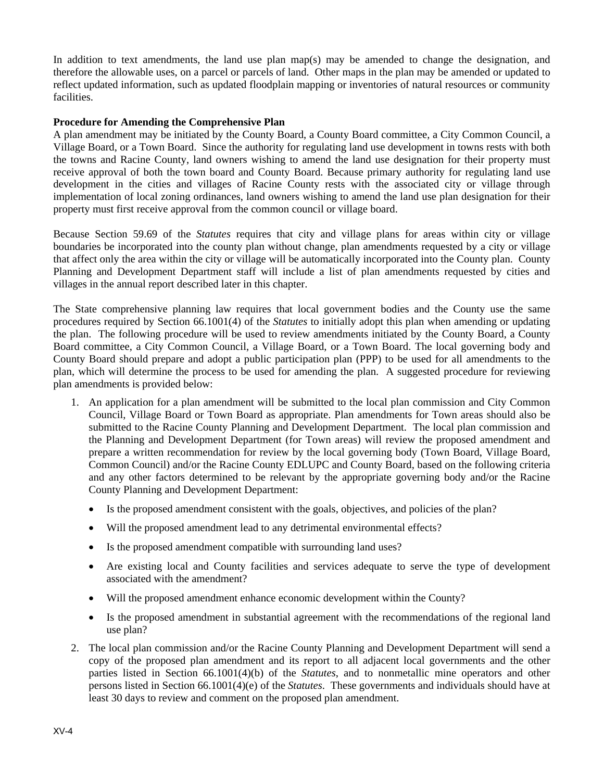In addition to text amendments, the land use plan map(s) may be amended to change the designation, and therefore the allowable uses, on a parcel or parcels of land. Other maps in the plan may be amended or updated to reflect updated information, such as updated floodplain mapping or inventories of natural resources or community facilities.

#### **Procedure for Amending the Comprehensive Plan**

A plan amendment may be initiated by the County Board, a County Board committee, a City Common Council, a Village Board, or a Town Board. Since the authority for regulating land use development in towns rests with both the towns and Racine County, land owners wishing to amend the land use designation for their property must receive approval of both the town board and County Board. Because primary authority for regulating land use development in the cities and villages of Racine County rests with the associated city or village through implementation of local zoning ordinances, land owners wishing to amend the land use plan designation for their property must first receive approval from the common council or village board.

Because Section 59.69 of the *Statutes* requires that city and village plans for areas within city or village boundaries be incorporated into the county plan without change, plan amendments requested by a city or village that affect only the area within the city or village will be automatically incorporated into the County plan. County Planning and Development Department staff will include a list of plan amendments requested by cities and villages in the annual report described later in this chapter.

The State comprehensive planning law requires that local government bodies and the County use the same procedures required by Section 66.1001(4) of the *Statutes* to initially adopt this plan when amending or updating the plan. The following procedure will be used to review amendments initiated by the County Board, a County Board committee, a City Common Council, a Village Board, or a Town Board. The local governing body and County Board should prepare and adopt a public participation plan (PPP) to be used for all amendments to the plan, which will determine the process to be used for amending the plan. A suggested procedure for reviewing plan amendments is provided below:

- 1. An application for a plan amendment will be submitted to the local plan commission and City Common Council, Village Board or Town Board as appropriate. Plan amendments for Town areas should also be submitted to the Racine County Planning and Development Department. The local plan commission and the Planning and Development Department (for Town areas) will review the proposed amendment and prepare a written recommendation for review by the local governing body (Town Board, Village Board, Common Council) and/or the Racine County EDLUPC and County Board, based on the following criteria and any other factors determined to be relevant by the appropriate governing body and/or the Racine County Planning and Development Department:
	- Is the proposed amendment consistent with the goals, objectives, and policies of the plan?
	- Will the proposed amendment lead to any detrimental environmental effects?
	- Is the proposed amendment compatible with surrounding land uses?
	- Are existing local and County facilities and services adequate to serve the type of development associated with the amendment?
	- Will the proposed amendment enhance economic development within the County?
	- Is the proposed amendment in substantial agreement with the recommendations of the regional land use plan?
- 2. The local plan commission and/or the Racine County Planning and Development Department will send a copy of the proposed plan amendment and its report to all adjacent local governments and the other parties listed in Section 66.1001(4)(b) of the *Statutes*, and to nonmetallic mine operators and other persons listed in Section 66.1001(4)(e) of the *Statutes*. These governments and individuals should have at least 30 days to review and comment on the proposed plan amendment.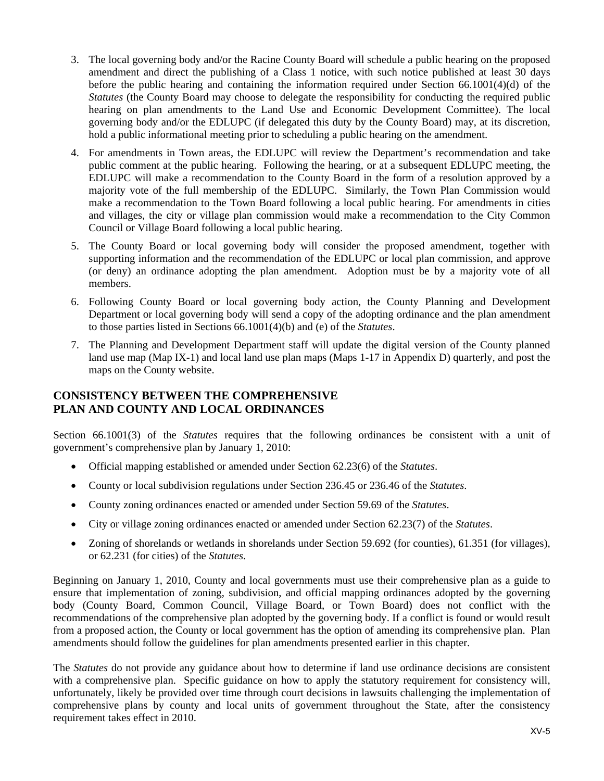- 3. The local governing body and/or the Racine County Board will schedule a public hearing on the proposed amendment and direct the publishing of a Class 1 notice, with such notice published at least 30 days before the public hearing and containing the information required under Section 66.1001(4)(d) of the *Statutes* (the County Board may choose to delegate the responsibility for conducting the required public hearing on plan amendments to the Land Use and Economic Development Committee). The local governing body and/or the EDLUPC (if delegated this duty by the County Board) may, at its discretion, hold a public informational meeting prior to scheduling a public hearing on the amendment.
- 4. For amendments in Town areas, the EDLUPC will review the Department's recommendation and take public comment at the public hearing. Following the hearing, or at a subsequent EDLUPC meeting, the EDLUPC will make a recommendation to the County Board in the form of a resolution approved by a majority vote of the full membership of the EDLUPC. Similarly, the Town Plan Commission would make a recommendation to the Town Board following a local public hearing. For amendments in cities and villages, the city or village plan commission would make a recommendation to the City Common Council or Village Board following a local public hearing.
- 5. The County Board or local governing body will consider the proposed amendment, together with supporting information and the recommendation of the EDLUPC or local plan commission, and approve (or deny) an ordinance adopting the plan amendment. Adoption must be by a majority vote of all members.
- 6. Following County Board or local governing body action, the County Planning and Development Department or local governing body will send a copy of the adopting ordinance and the plan amendment to those parties listed in Sections 66.1001(4)(b) and (e) of the *Statutes*.
- 7. The Planning and Development Department staff will update the digital version of the County planned land use map (Map IX-1) and local land use plan maps (Maps 1-17 in Appendix D) quarterly, and post the maps on the County website.

# **CONSISTENCY BETWEEN THE COMPREHENSIVE PLAN AND COUNTY AND LOCAL ORDINANCES**

Section 66.1001(3) of the *Statutes* requires that the following ordinances be consistent with a unit of government's comprehensive plan by January 1, 2010:

- Official mapping established or amended under Section 62.23(6) of the *Statutes*.
- County or local subdivision regulations under Section 236.45 or 236.46 of the *Statutes*.
- County zoning ordinances enacted or amended under Section 59.69 of the *Statutes*.
- City or village zoning ordinances enacted or amended under Section 62.23(7) of the *Statutes*.
- Zoning of shorelands or wetlands in shorelands under Section 59.692 (for counties), 61.351 (for villages), or 62.231 (for cities) of the *Statutes*.

Beginning on January 1, 2010, County and local governments must use their comprehensive plan as a guide to ensure that implementation of zoning, subdivision, and official mapping ordinances adopted by the governing body (County Board, Common Council, Village Board, or Town Board) does not conflict with the recommendations of the comprehensive plan adopted by the governing body. If a conflict is found or would result from a proposed action, the County or local government has the option of amending its comprehensive plan. Plan amendments should follow the guidelines for plan amendments presented earlier in this chapter.

The *Statutes* do not provide any guidance about how to determine if land use ordinance decisions are consistent with a comprehensive plan. Specific guidance on how to apply the statutory requirement for consistency will, unfortunately, likely be provided over time through court decisions in lawsuits challenging the implementation of comprehensive plans by county and local units of government throughout the State, after the consistency requirement takes effect in 2010.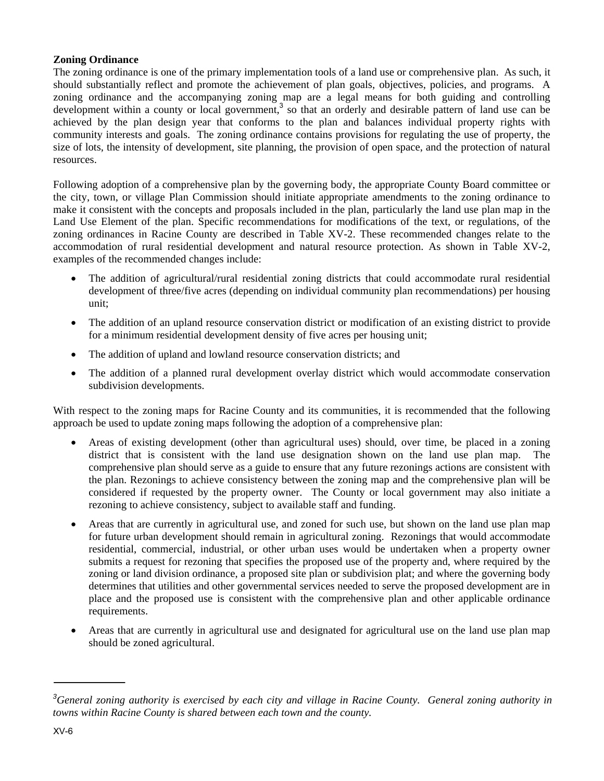## **Zoning Ordinance**

The zoning ordinance is one of the primary implementation tools of a land use or comprehensive plan. As such, it should substantially reflect and promote the achievement of plan goals, objectives, policies, and programs. A zoning ordinance and the accompanying zoning map are a legal means for both guiding and controlling development within a county or local government,<sup>3</sup> so that an orderly and desirable pattern of land use can be achieved by the plan design year that conforms to the plan and balances individual property rights with community interests and goals. The zoning ordinance contains provisions for regulating the use of property, the size of lots, the intensity of development, site planning, the provision of open space, and the protection of natural resources.

Following adoption of a comprehensive plan by the governing body, the appropriate County Board committee or the city, town, or village Plan Commission should initiate appropriate amendments to the zoning ordinance to make it consistent with the concepts and proposals included in the plan, particularly the land use plan map in the Land Use Element of the plan. Specific recommendations for modifications of the text, or regulations, of the zoning ordinances in Racine County are described in Table XV-2. These recommended changes relate to the accommodation of rural residential development and natural resource protection. As shown in Table XV-2, examples of the recommended changes include:

- The addition of agricultural/rural residential zoning districts that could accommodate rural residential development of three/five acres (depending on individual community plan recommendations) per housing unit;
- The addition of an upland resource conservation district or modification of an existing district to provide for a minimum residential development density of five acres per housing unit;
- The addition of upland and lowland resource conservation districts; and
- The addition of a planned rural development overlay district which would accommodate conservation subdivision developments.

With respect to the zoning maps for Racine County and its communities, it is recommended that the following approach be used to update zoning maps following the adoption of a comprehensive plan:

- Areas of existing development (other than agricultural uses) should, over time, be placed in a zoning district that is consistent with the land use designation shown on the land use plan map. The comprehensive plan should serve as a guide to ensure that any future rezonings actions are consistent with the plan. Rezonings to achieve consistency between the zoning map and the comprehensive plan will be considered if requested by the property owner. The County or local government may also initiate a rezoning to achieve consistency, subject to available staff and funding.
- Areas that are currently in agricultural use, and zoned for such use, but shown on the land use plan map for future urban development should remain in agricultural zoning. Rezonings that would accommodate residential, commercial, industrial, or other urban uses would be undertaken when a property owner submits a request for rezoning that specifies the proposed use of the property and, where required by the zoning or land division ordinance, a proposed site plan or subdivision plat; and where the governing body determines that utilities and other governmental services needed to serve the proposed development are in place and the proposed use is consistent with the comprehensive plan and other applicable ordinance requirements.
- Areas that are currently in agricultural use and designated for agricultural use on the land use plan map should be zoned agricultural.

*<sup>3</sup> General zoning authority is exercised by each city and village in Racine County. General zoning authority in towns within Racine County is shared between each town and the county.*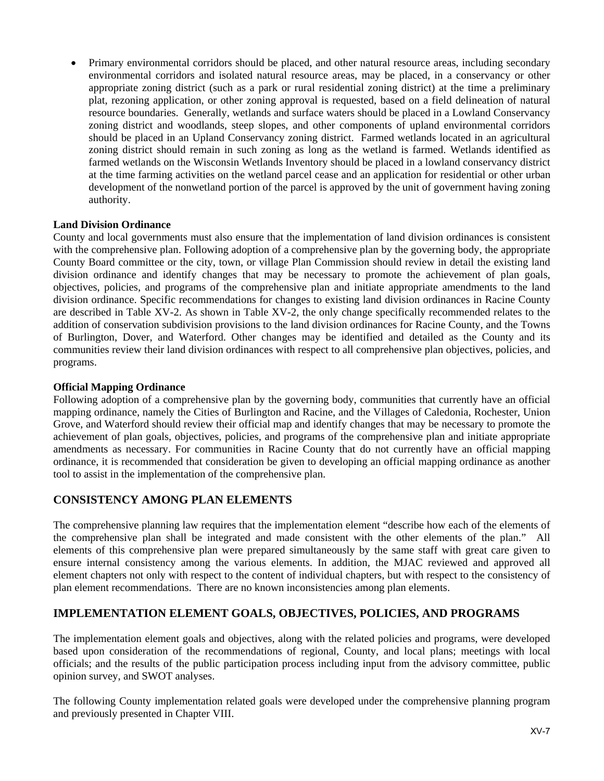Primary environmental corridors should be placed, and other natural resource areas, including secondary environmental corridors and isolated natural resource areas, may be placed, in a conservancy or other appropriate zoning district (such as a park or rural residential zoning district) at the time a preliminary plat, rezoning application, or other zoning approval is requested, based on a field delineation of natural resource boundaries. Generally, wetlands and surface waters should be placed in a Lowland Conservancy zoning district and woodlands, steep slopes, and other components of upland environmental corridors should be placed in an Upland Conservancy zoning district. Farmed wetlands located in an agricultural zoning district should remain in such zoning as long as the wetland is farmed. Wetlands identified as farmed wetlands on the Wisconsin Wetlands Inventory should be placed in a lowland conservancy district at the time farming activities on the wetland parcel cease and an application for residential or other urban development of the nonwetland portion of the parcel is approved by the unit of government having zoning authority.

## **Land Division Ordinance**

County and local governments must also ensure that the implementation of land division ordinances is consistent with the comprehensive plan. Following adoption of a comprehensive plan by the governing body, the appropriate County Board committee or the city, town, or village Plan Commission should review in detail the existing land division ordinance and identify changes that may be necessary to promote the achievement of plan goals, objectives, policies, and programs of the comprehensive plan and initiate appropriate amendments to the land division ordinance. Specific recommendations for changes to existing land division ordinances in Racine County are described in Table XV-2. As shown in Table XV-2, the only change specifically recommended relates to the addition of conservation subdivision provisions to the land division ordinances for Racine County, and the Towns of Burlington, Dover, and Waterford. Other changes may be identified and detailed as the County and its communities review their land division ordinances with respect to all comprehensive plan objectives, policies, and programs.

### **Official Mapping Ordinance**

Following adoption of a comprehensive plan by the governing body, communities that currently have an official mapping ordinance, namely the Cities of Burlington and Racine, and the Villages of Caledonia, Rochester, Union Grove, and Waterford should review their official map and identify changes that may be necessary to promote the achievement of plan goals, objectives, policies, and programs of the comprehensive plan and initiate appropriate amendments as necessary. For communities in Racine County that do not currently have an official mapping ordinance, it is recommended that consideration be given to developing an official mapping ordinance as another tool to assist in the implementation of the comprehensive plan.

# **CONSISTENCY AMONG PLAN ELEMENTS**

The comprehensive planning law requires that the implementation element "describe how each of the elements of the comprehensive plan shall be integrated and made consistent with the other elements of the plan." All elements of this comprehensive plan were prepared simultaneously by the same staff with great care given to ensure internal consistency among the various elements. In addition, the MJAC reviewed and approved all element chapters not only with respect to the content of individual chapters, but with respect to the consistency of plan element recommendations. There are no known inconsistencies among plan elements.

# **IMPLEMENTATION ELEMENT GOALS, OBJECTIVES, POLICIES, AND PROGRAMS**

The implementation element goals and objectives, along with the related policies and programs, were developed based upon consideration of the recommendations of regional, County, and local plans; meetings with local officials; and the results of the public participation process including input from the advisory committee, public opinion survey, and SWOT analyses.

The following County implementation related goals were developed under the comprehensive planning program and previously presented in Chapter VIII.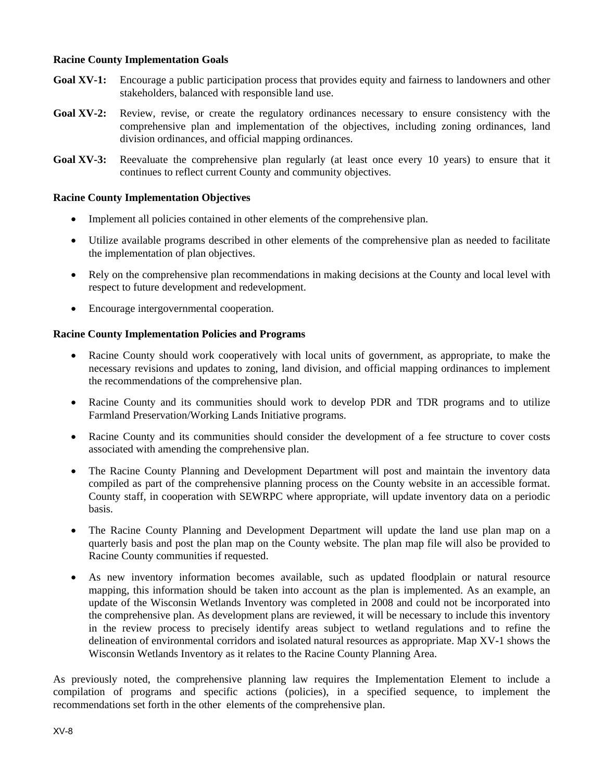### **Racine County Implementation Goals**

- **Goal XV-1:** Encourage a public participation process that provides equity and fairness to landowners and other stakeholders, balanced with responsible land use.
- Goal XV-2: Review, revise, or create the regulatory ordinances necessary to ensure consistency with the comprehensive plan and implementation of the objectives, including zoning ordinances, land division ordinances, and official mapping ordinances.
- Goal XV-3: Reevaluate the comprehensive plan regularly (at least once every 10 years) to ensure that it continues to reflect current County and community objectives.

#### **Racine County Implementation Objectives**

- Implement all policies contained in other elements of the comprehensive plan.
- Utilize available programs described in other elements of the comprehensive plan as needed to facilitate the implementation of plan objectives.
- Rely on the comprehensive plan recommendations in making decisions at the County and local level with respect to future development and redevelopment.
- Encourage intergovernmental cooperation.

#### **Racine County Implementation Policies and Programs**

- Racine County should work cooperatively with local units of government, as appropriate, to make the necessary revisions and updates to zoning, land division, and official mapping ordinances to implement the recommendations of the comprehensive plan.
- Racine County and its communities should work to develop PDR and TDR programs and to utilize Farmland Preservation/Working Lands Initiative programs.
- Racine County and its communities should consider the development of a fee structure to cover costs associated with amending the comprehensive plan.
- The Racine County Planning and Development Department will post and maintain the inventory data compiled as part of the comprehensive planning process on the County website in an accessible format. County staff, in cooperation with SEWRPC where appropriate, will update inventory data on a periodic basis.
- The Racine County Planning and Development Department will update the land use plan map on a quarterly basis and post the plan map on the County website. The plan map file will also be provided to Racine County communities if requested.
- As new inventory information becomes available, such as updated floodplain or natural resource mapping, this information should be taken into account as the plan is implemented. As an example, an update of the Wisconsin Wetlands Inventory was completed in 2008 and could not be incorporated into the comprehensive plan. As development plans are reviewed, it will be necessary to include this inventory in the review process to precisely identify areas subject to wetland regulations and to refine the delineation of environmental corridors and isolated natural resources as appropriate. Map XV-1 shows the Wisconsin Wetlands Inventory as it relates to the Racine County Planning Area.

As previously noted, the comprehensive planning law requires the Implementation Element to include a compilation of programs and specific actions (policies), in a specified sequence, to implement the recommendations set forth in the other elements of the comprehensive plan.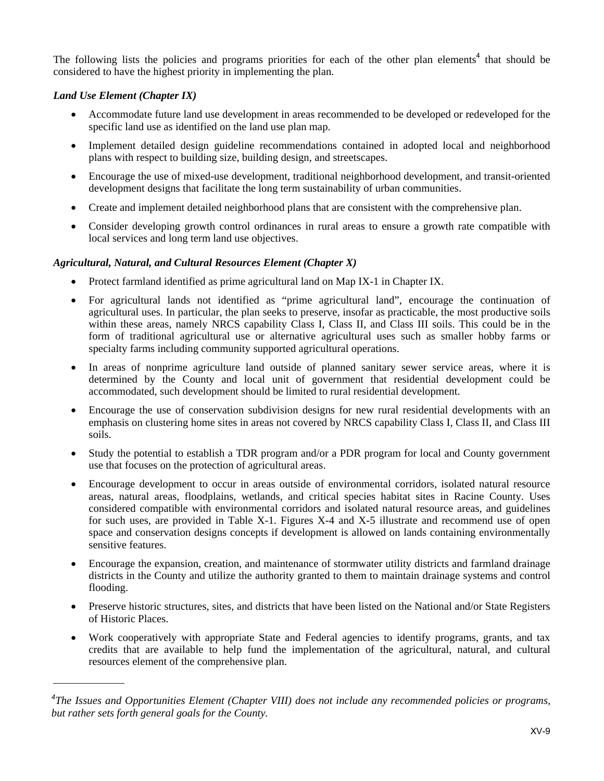The following lists the policies and programs priorities for each of the other plan elements<sup>4</sup> that should be considered to have the highest priority in implementing the plan.

# *Land Use Element (Chapter IX)*

- Accommodate future land use development in areas recommended to be developed or redeveloped for the specific land use as identified on the land use plan map.
- Implement detailed design guideline recommendations contained in adopted local and neighborhood plans with respect to building size, building design, and streetscapes.
- Encourage the use of mixed-use development, traditional neighborhood development, and transit-oriented development designs that facilitate the long term sustainability of urban communities.
- Create and implement detailed neighborhood plans that are consistent with the comprehensive plan.
- Consider developing growth control ordinances in rural areas to ensure a growth rate compatible with local services and long term land use objectives.

# *Agricultural, Natural, and Cultural Resources Element (Chapter X)*

- Protect farmland identified as prime agricultural land on Map IX-1 in Chapter IX.
- For agricultural lands not identified as "prime agricultural land", encourage the continuation of agricultural uses. In particular, the plan seeks to preserve, insofar as practicable, the most productive soils within these areas, namely NRCS capability Class I, Class II, and Class III soils. This could be in the form of traditional agricultural use or alternative agricultural uses such as smaller hobby farms or specialty farms including community supported agricultural operations.
- In areas of nonprime agriculture land outside of planned sanitary sewer service areas, where it is determined by the County and local unit of government that residential development could be accommodated, such development should be limited to rural residential development.
- Encourage the use of conservation subdivision designs for new rural residential developments with an emphasis on clustering home sites in areas not covered by NRCS capability Class I, Class II, and Class III soils.
- Study the potential to establish a TDR program and/or a PDR program for local and County government use that focuses on the protection of agricultural areas.
- Encourage development to occur in areas outside of environmental corridors, isolated natural resource areas, natural areas, floodplains, wetlands, and critical species habitat sites in Racine County. Uses considered compatible with environmental corridors and isolated natural resource areas, and guidelines for such uses, are provided in Table X-1. Figures X-4 and X-5 illustrate and recommend use of open space and conservation designs concepts if development is allowed on lands containing environmentally sensitive features.
- Encourage the expansion, creation, and maintenance of stormwater utility districts and farmland drainage districts in the County and utilize the authority granted to them to maintain drainage systems and control flooding.
- Preserve historic structures, sites, and districts that have been listed on the National and/or State Registers of Historic Places.
- Work cooperatively with appropriate State and Federal agencies to identify programs, grants, and tax credits that are available to help fund the implementation of the agricultural, natural, and cultural resources element of the comprehensive plan.

<sup>&</sup>lt;sup>4</sup>The Issues and Opportunities Element (Chapter VIII) does not include any recommended policies or programs, *but rather sets forth general goals for the County.*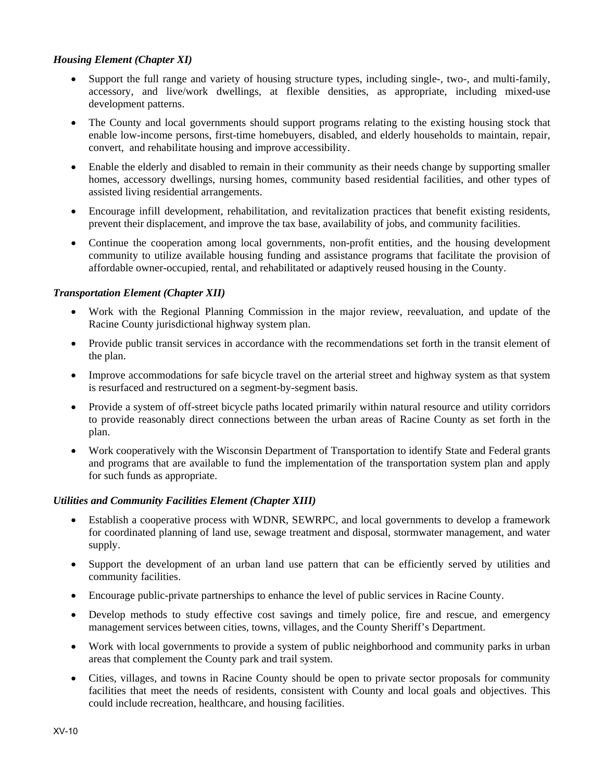# *Housing Element (Chapter XI)*

- Support the full range and variety of housing structure types, including single-, two-, and multi-family, accessory, and live/work dwellings, at flexible densities, as appropriate, including mixed-use development patterns.
- The County and local governments should support programs relating to the existing housing stock that enable low-income persons, first-time homebuyers, disabled, and elderly households to maintain, repair, convert, and rehabilitate housing and improve accessibility.
- Enable the elderly and disabled to remain in their community as their needs change by supporting smaller homes, accessory dwellings, nursing homes, community based residential facilities, and other types of assisted living residential arrangements.
- Encourage infill development, rehabilitation, and revitalization practices that benefit existing residents, prevent their displacement, and improve the tax base, availability of jobs, and community facilities.
- Continue the cooperation among local governments, non-profit entities, and the housing development community to utilize available housing funding and assistance programs that facilitate the provision of affordable owner-occupied, rental, and rehabilitated or adaptively reused housing in the County.

## *Transportation Element (Chapter XII)*

- Work with the Regional Planning Commission in the major review, reevaluation, and update of the Racine County jurisdictional highway system plan.
- Provide public transit services in accordance with the recommendations set forth in the transit element of the plan.
- Improve accommodations for safe bicycle travel on the arterial street and highway system as that system is resurfaced and restructured on a segment-by-segment basis.
- Provide a system of off-street bicycle paths located primarily within natural resource and utility corridors to provide reasonably direct connections between the urban areas of Racine County as set forth in the plan.
- Work cooperatively with the Wisconsin Department of Transportation to identify State and Federal grants and programs that are available to fund the implementation of the transportation system plan and apply for such funds as appropriate.

#### *Utilities and Community Facilities Element (Chapter XIII)*

- Establish a cooperative process with WDNR, SEWRPC, and local governments to develop a framework for coordinated planning of land use, sewage treatment and disposal, stormwater management, and water supply.
- Support the development of an urban land use pattern that can be efficiently served by utilities and community facilities.
- Encourage public-private partnerships to enhance the level of public services in Racine County.
- Develop methods to study effective cost savings and timely police, fire and rescue, and emergency management services between cities, towns, villages, and the County Sheriff's Department.
- Work with local governments to provide a system of public neighborhood and community parks in urban areas that complement the County park and trail system.
- Cities, villages, and towns in Racine County should be open to private sector proposals for community facilities that meet the needs of residents, consistent with County and local goals and objectives. This could include recreation, healthcare, and housing facilities.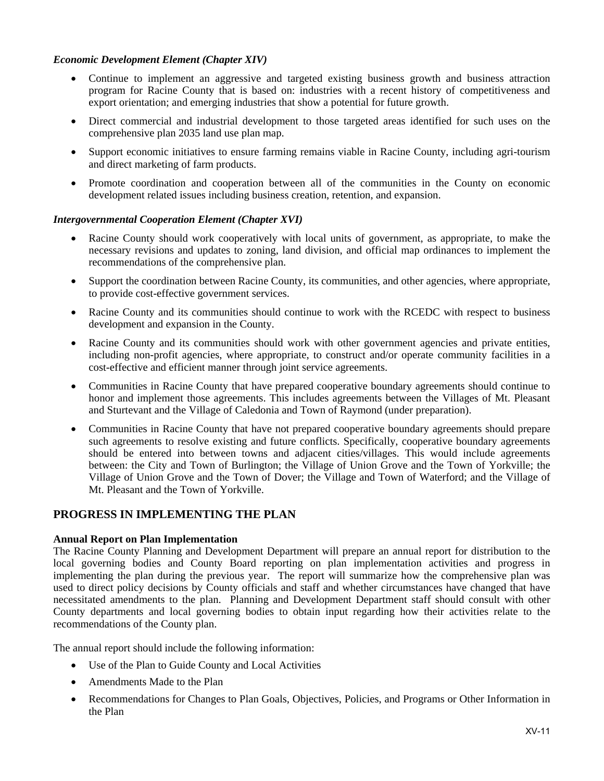#### *Economic Development Element (Chapter XIV)*

- Continue to implement an aggressive and targeted existing business growth and business attraction program for Racine County that is based on: industries with a recent history of competitiveness and export orientation; and emerging industries that show a potential for future growth.
- Direct commercial and industrial development to those targeted areas identified for such uses on the comprehensive plan 2035 land use plan map.
- Support economic initiatives to ensure farming remains viable in Racine County, including agri-tourism and direct marketing of farm products.
- Promote coordination and cooperation between all of the communities in the County on economic development related issues including business creation, retention, and expansion.

#### *Intergovernmental Cooperation Element (Chapter XVI)*

- Racine County should work cooperatively with local units of government, as appropriate, to make the necessary revisions and updates to zoning, land division, and official map ordinances to implement the recommendations of the comprehensive plan.
- Support the coordination between Racine County, its communities, and other agencies, where appropriate, to provide cost-effective government services.
- Racine County and its communities should continue to work with the RCEDC with respect to business development and expansion in the County.
- Racine County and its communities should work with other government agencies and private entities, including non-profit agencies, where appropriate, to construct and/or operate community facilities in a cost-effective and efficient manner through joint service agreements.
- Communities in Racine County that have prepared cooperative boundary agreements should continue to honor and implement those agreements. This includes agreements between the Villages of Mt. Pleasant and Sturtevant and the Village of Caledonia and Town of Raymond (under preparation).
- Communities in Racine County that have not prepared cooperative boundary agreements should prepare such agreements to resolve existing and future conflicts. Specifically, cooperative boundary agreements should be entered into between towns and adjacent cities/villages. This would include agreements between: the City and Town of Burlington; the Village of Union Grove and the Town of Yorkville; the Village of Union Grove and the Town of Dover; the Village and Town of Waterford; and the Village of Mt. Pleasant and the Town of Yorkville.

# **PROGRESS IN IMPLEMENTING THE PLAN**

#### **Annual Report on Plan Implementation**

The Racine County Planning and Development Department will prepare an annual report for distribution to the local governing bodies and County Board reporting on plan implementation activities and progress in implementing the plan during the previous year. The report will summarize how the comprehensive plan was used to direct policy decisions by County officials and staff and whether circumstances have changed that have necessitated amendments to the plan. Planning and Development Department staff should consult with other County departments and local governing bodies to obtain input regarding how their activities relate to the recommendations of the County plan.

The annual report should include the following information:

- Use of the Plan to Guide County and Local Activities
- Amendments Made to the Plan
- Recommendations for Changes to Plan Goals, Objectives, Policies, and Programs or Other Information in the Plan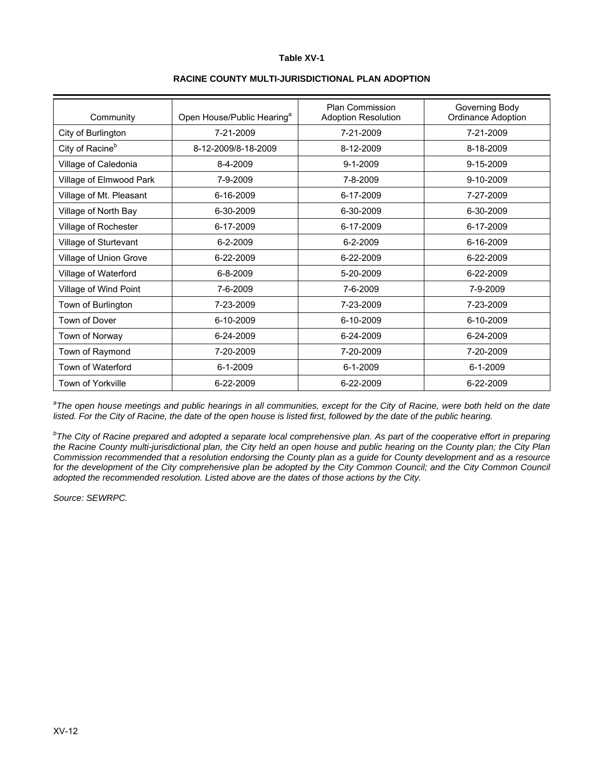#### **Table XV-1**

| Community                   | Open House/Public Hearing <sup>a</sup> | <b>Plan Commission</b><br><b>Adoption Resolution</b> | Governing Body<br>Ordinance Adoption |
|-----------------------------|----------------------------------------|------------------------------------------------------|--------------------------------------|
| City of Burlington          | 7-21-2009                              | 7-21-2009                                            | 7-21-2009                            |
| City of Racine <sup>b</sup> | 8-12-2009/8-18-2009                    | 8-12-2009                                            | 8-18-2009                            |
| Village of Caledonia        | 8-4-2009                               | $9 - 1 - 2009$                                       | 9-15-2009                            |
| Village of Elmwood Park     | 7-9-2009                               | 7-8-2009                                             | 9-10-2009                            |
| Village of Mt. Pleasant     | 6-16-2009                              | 6-17-2009                                            | 7-27-2009                            |
| Village of North Bay        | 6-30-2009                              | 6-30-2009                                            | 6-30-2009                            |
| Village of Rochester        | 6-17-2009                              | 6-17-2009                                            | 6-17-2009                            |
| Village of Sturtevant       | 6-2-2009                               | 6-2-2009                                             | 6-16-2009                            |
| Village of Union Grove      | 6-22-2009                              | 6-22-2009                                            | 6-22-2009                            |
| Village of Waterford        | $6 - 8 - 2009$                         | 5-20-2009                                            | 6-22-2009                            |
| Village of Wind Point       | 7-6-2009                               | 7-6-2009                                             | 7-9-2009                             |
| Town of Burlington          | 7-23-2009                              | 7-23-2009                                            | 7-23-2009                            |
| Town of Dover               | 6-10-2009                              | 6-10-2009                                            | 6-10-2009                            |
| Town of Norway              | 6-24-2009                              | 6-24-2009                                            | 6-24-2009                            |
| Town of Raymond             | 7-20-2009                              | 7-20-2009                                            | 7-20-2009                            |
| Town of Waterford           | $6 - 1 - 2009$                         | $6 - 1 - 2009$                                       | $6 - 1 - 2009$                       |
| Town of Yorkville           | 6-22-2009                              | 6-22-2009                                            | 6-22-2009                            |

#### **RACINE COUNTY MULTI-JURISDICTIONAL PLAN ADOPTION**

<sup>a</sup>The open house meetings and public hearings in all communities, except for the City of Racine, were both held on the date listed. For the City of Racine, the date of the open house is listed first, followed by the date of the public hearing.

<sup>b</sup>The City of Racine prepared and adopted a separate local comprehensive plan. As part of the cooperative effort in preparing *the Racine County multi-jurisdictional plan, the City held an open house and public hearing on the County plan; the City Plan Commission recommended that a resolution endorsing the County plan as a guide for County development and as a resource*  for the development of the City comprehensive plan be adopted by the City Common Council; and the City Common Council *adopted the recommended resolution. Listed above are the dates of those actions by the City.* 

*Source: SEWRPC.*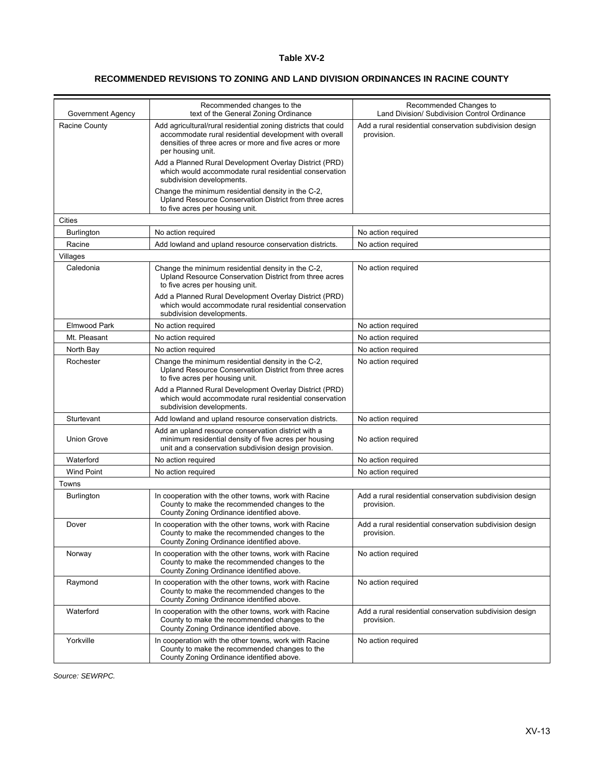#### **Table XV-2**

## **RECOMMENDED REVISIONS TO ZONING AND LAND DIVISION ORDINANCES IN RACINE COUNTY**

|                                    | Recommended changes to the                                                                                                                                                                                                                       | Recommended Changes to                                                                                                |  |  |
|------------------------------------|--------------------------------------------------------------------------------------------------------------------------------------------------------------------------------------------------------------------------------------------------|-----------------------------------------------------------------------------------------------------------------------|--|--|
| Government Agency<br>Racine County | text of the General Zoning Ordinance<br>Add agricultural/rural residential zoning districts that could<br>accommodate rural residential development with overall<br>densities of three acres or more and five acres or more<br>per housing unit. | Land Division/ Subdivision Control Ordinance<br>Add a rural residential conservation subdivision design<br>provision. |  |  |
|                                    | Add a Planned Rural Development Overlay District (PRD)<br>which would accommodate rural residential conservation<br>subdivision developments.                                                                                                    |                                                                                                                       |  |  |
|                                    | Change the minimum residential density in the C-2,<br>Upland Resource Conservation District from three acres<br>to five acres per housing unit.                                                                                                  |                                                                                                                       |  |  |
| Cities                             |                                                                                                                                                                                                                                                  |                                                                                                                       |  |  |
| <b>Burlington</b>                  | No action required                                                                                                                                                                                                                               | No action required                                                                                                    |  |  |
| Racine                             | Add lowland and upland resource conservation districts.                                                                                                                                                                                          | No action required                                                                                                    |  |  |
| Villages                           |                                                                                                                                                                                                                                                  |                                                                                                                       |  |  |
| Caledonia                          | Change the minimum residential density in the C-2,<br>Upland Resource Conservation District from three acres<br>to five acres per housing unit.                                                                                                  | No action required                                                                                                    |  |  |
|                                    | Add a Planned Rural Development Overlay District (PRD)<br>which would accommodate rural residential conservation<br>subdivision developments.                                                                                                    |                                                                                                                       |  |  |
| <b>Elmwood Park</b>                | No action required                                                                                                                                                                                                                               | No action required                                                                                                    |  |  |
| Mt. Pleasant                       | No action required                                                                                                                                                                                                                               | No action required                                                                                                    |  |  |
| North Bay                          | No action required                                                                                                                                                                                                                               | No action required                                                                                                    |  |  |
| Rochester                          | Change the minimum residential density in the C-2,<br>Upland Resource Conservation District from three acres<br>to five acres per housing unit.                                                                                                  | No action required                                                                                                    |  |  |
|                                    | Add a Planned Rural Development Overlay District (PRD)<br>which would accommodate rural residential conservation<br>subdivision developments.                                                                                                    |                                                                                                                       |  |  |
| Sturtevant                         | Add lowland and upland resource conservation districts.                                                                                                                                                                                          | No action required                                                                                                    |  |  |
| <b>Union Grove</b>                 | Add an upland resource conservation district with a<br>minimum residential density of five acres per housing<br>unit and a conservation subdivision design provision.                                                                            | No action required                                                                                                    |  |  |
| Waterford                          | No action required                                                                                                                                                                                                                               | No action required                                                                                                    |  |  |
| <b>Wind Point</b>                  | No action required                                                                                                                                                                                                                               | No action required                                                                                                    |  |  |
| Towns                              |                                                                                                                                                                                                                                                  |                                                                                                                       |  |  |
| <b>Burlington</b>                  | In cooperation with the other towns, work with Racine<br>County to make the recommended changes to the<br>County Zoning Ordinance identified above.                                                                                              | Add a rural residential conservation subdivision design<br>provision.                                                 |  |  |
| Dover                              | In cooperation with the other towns, work with Racine<br>County to make the recommended changes to the<br>County Zoning Ordinance identified above.                                                                                              | Add a rural residential conservation subdivision design<br>provision.                                                 |  |  |
| Norway                             | In cooperation with the other towns, work with Racine<br>County to make the recommended changes to the<br>County Zoning Ordinance identified above.                                                                                              | No action required                                                                                                    |  |  |
| Raymond                            | In cooperation with the other towns, work with Racine<br>County to make the recommended changes to the<br>County Zoning Ordinance identified above.                                                                                              | No action required                                                                                                    |  |  |
| Waterford                          | In cooperation with the other towns, work with Racine<br>County to make the recommended changes to the<br>County Zoning Ordinance identified above.                                                                                              | Add a rural residential conservation subdivision design<br>provision.                                                 |  |  |
| Yorkville                          | In cooperation with the other towns, work with Racine<br>County to make the recommended changes to the<br>County Zoning Ordinance identified above.                                                                                              | No action required                                                                                                    |  |  |

*Source: SEWRPC.*